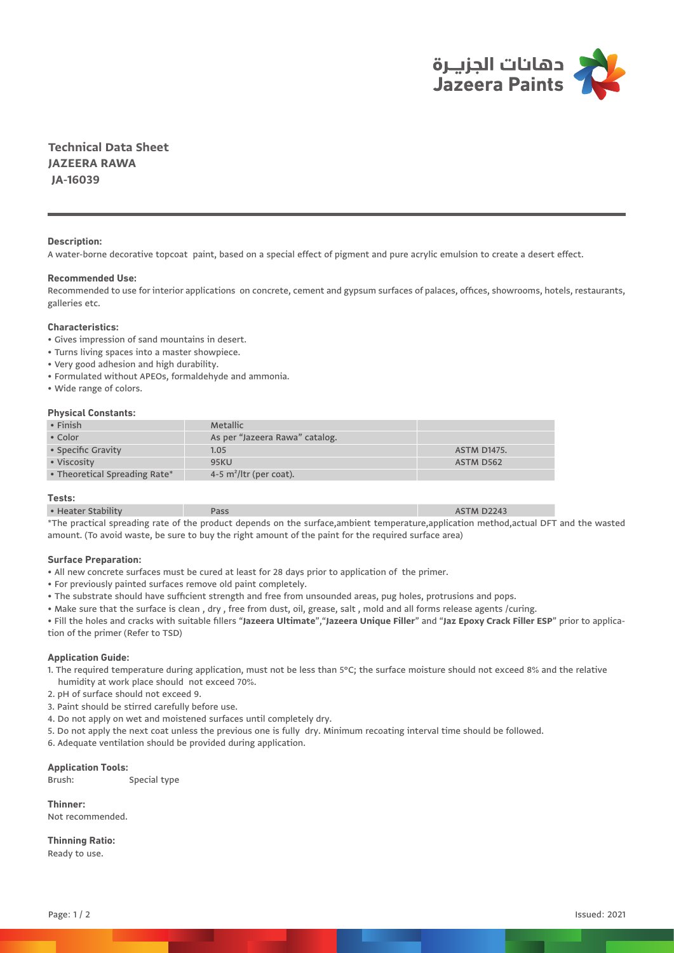

**Technical Data Sheet JAZEERA RAWA JA-16039**

## **Description:**

A water-borne decorative topcoat paint, based on a special effect of pigment and pure acrylic emulsion to create a desert effect.

### **Recommended Use:**

Recommended to use for interior applications on concrete, cement and gypsum surfaces of palaces, offices, showrooms, hotels, restaurants, galleries etc.

# **Characteristics:**

- Gives impression of sand mountains in desert.
- Turns living spaces into a master showpiece.
- Very good adhesion and high durability.
- Formulated without APEOs, formaldehyde and ammonia.
- Wide range of colors.

### **Physical Constants:**

| $\cdot$ Finish                | Metallic                       |                    |
|-------------------------------|--------------------------------|--------------------|
| • Color                       | As per "Jazeera Rawa" catalog. |                    |
| • Specific Gravity            | 1.05                           | <b>ASTM D1475.</b> |
| • Viscosity                   | <b>95KU</b>                    | ASTM D562          |
| • Theoretical Spreading Rate* | 4-5 $m^2$ /ltr (per coat).     |                    |

#### **Tests:**

| $\cdots$<br>• Heater Stability | <b>ASTM D2243</b>           |
|--------------------------------|-----------------------------|
| <b>All counts in</b>           | $\sim$ $\sim$ $\sim$ $\sim$ |

The practical spreading rate of the product depends on the surface,ambient temperature,application method,actual DFT and the wasted amount. (To avoid waste, be sure to buy the right amount of the paint for the required surface area)

### **Surface Preparation:**

- All new concrete surfaces must be cured at least for 28 days prior to application of the primer.
- For previously painted surfaces remove old paint completely.
- The substrate should have sufficient strength and free from unsounded areas, pug holes, protrusions and pops.
- Make sure that the surface is clean , dry , free from dust, oil, grease, salt , mold and all forms release agents /curing.

• Fill the holes and cracks with suitable fillers "**Jazeera Ultimate**","**Jazeera Unique Filler**" and "**Jaz Epoxy Crack Filler ESP**" prior to application of the primer (Refer to TSD)

#### **Application Guide:**

- 1. The required temperature during application, must not be less than 5°C; the surface moisture should not exceed 8% and the relative humidity at work place should not exceed 70%.
- 2. pH of surface should not exceed 9.
- 3. Paint should be stirred carefully before use.
- 4. Do not apply on wet and moistened surfaces until completely dry.
- 5. Do not apply the next coat unless the previous one is fully dry. Minimum recoating interval time should be followed.
- 6. Adequate ventilation should be provided during application.

### **Application Tools:**

Brush: Special type

**Thinner:** Not recommended.

**Thinning Ratio:** Ready to use.